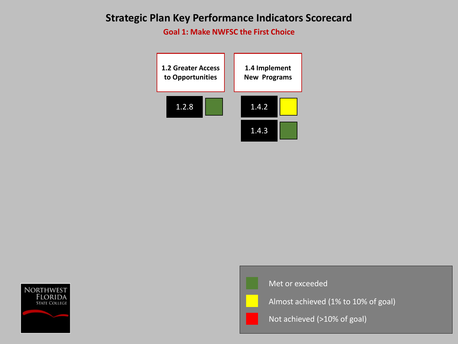**Goal 1: Make NWFSC the First Choice** 







Almost achieved (1% to 10% of goal)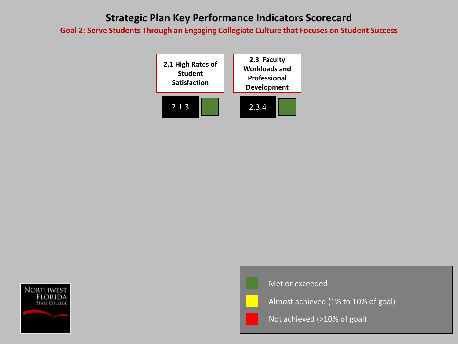**Goal 2: Serve Students Through an Engaging Collegiate Culture that Focuses on Student Success**







Met or exceeded

Almost achieved (1% to 10% of goal)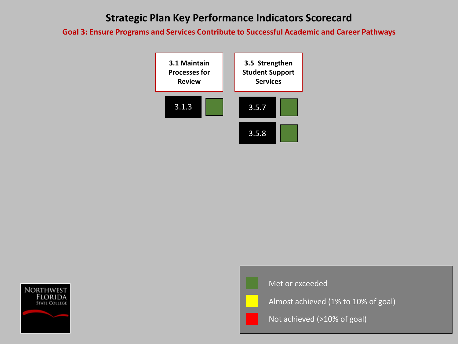**Goal 3: Ensure Programs and Services Contribute to Successful Academic and Career Pathways**







Almost achieved (1% to 10% of goal)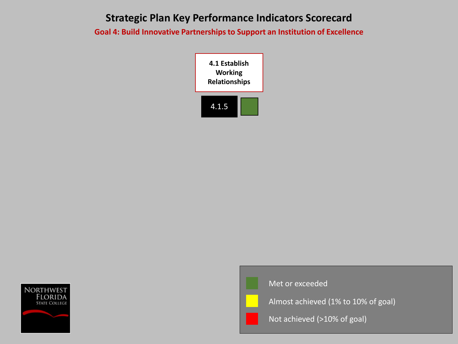**Goal 4: Build Innovative Partnerships to Support an Institution of Excellence**







Met or exceeded

Almost achieved (1% to 10% of goal)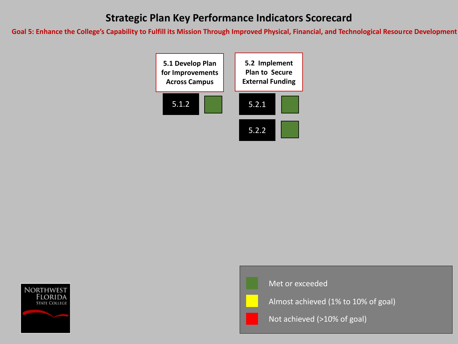**Goal 5: Enhance the College's Capability to Fulfill its Mission Through Improved Physical, Financial, and Technological Resource Development**







Met or exceeded

Almost achieved (1% to 10% of goal)